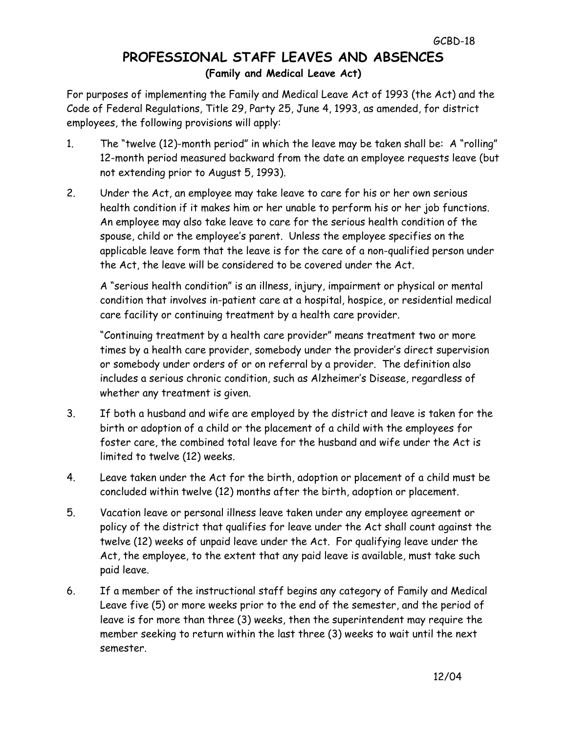## **PROFESSIONAL STAFF LEAVES AND ABSENCES (Family and Medical Leave Act)**

For purposes of implementing the Family and Medical Leave Act of 1993 (the Act) and the Code of Federal Regulations, Title 29, Party 25, June 4, 1993, as amended, for district employees, the following provisions will apply:

- 1. The "twelve (12)-month period" in which the leave may be taken shall be: A "rolling" 12-month period measured backward from the date an employee requests leave (but not extending prior to August 5, 1993).
- 2. Under the Act, an employee may take leave to care for his or her own serious health condition if it makes him or her unable to perform his or her job functions. An employee may also take leave to care for the serious health condition of the spouse, child or the employee's parent. Unless the employee specifies on the applicable leave form that the leave is for the care of a non-qualified person under the Act, the leave will be considered to be covered under the Act.

A "serious health condition" is an illness, injury, impairment or physical or mental condition that involves in-patient care at a hospital, hospice, or residential medical care facility or continuing treatment by a health care provider.

"Continuing treatment by a health care provider" means treatment two or more times by a health care provider, somebody under the provider's direct supervision or somebody under orders of or on referral by a provider. The definition also includes a serious chronic condition, such as Alzheimer's Disease, regardless of whether any treatment is given.

- 3. If both a husband and wife are employed by the district and leave is taken for the birth or adoption of a child or the placement of a child with the employees for foster care, the combined total leave for the husband and wife under the Act is limited to twelve (12) weeks.
- 4. Leave taken under the Act for the birth, adoption or placement of a child must be concluded within twelve (12) months after the birth, adoption or placement.
- 5. Vacation leave or personal illness leave taken under any employee agreement or policy of the district that qualifies for leave under the Act shall count against the twelve (12) weeks of unpaid leave under the Act. For qualifying leave under the Act, the employee, to the extent that any paid leave is available, must take such paid leave.
- 6. If a member of the instructional staff begins any category of Family and Medical Leave five (5) or more weeks prior to the end of the semester, and the period of leave is for more than three (3) weeks, then the superintendent may require the member seeking to return within the last three (3) weeks to wait until the next semester.